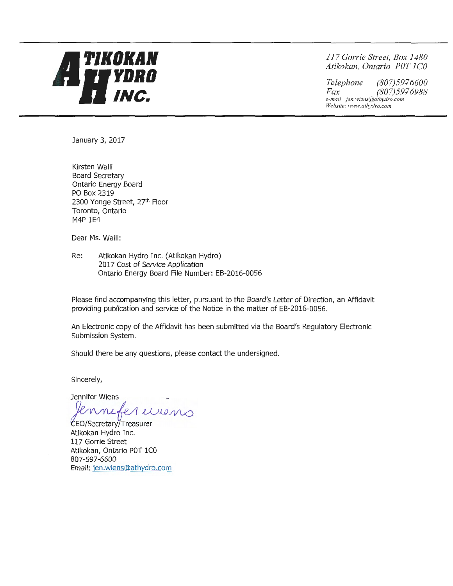

*11 7 Gorrie Street, Box 1480 Atikokan, Ontario POT 1 CO* 

*Telephone (807)5976600 Fax (807) 5976988 e-mail jen.wiens@athydro.com Website: www.athydro.com* 

January 3, 2017

Kirsten Walli Board Secretary Ontario Energy Board PO Box 2319 2300 Yonge Street, 27th Floor Toronto, Ontario M4P 1E4

Dear Ms. Walli:

Re: Atikokan Hydro Inc. (Atikokan Hydro) 2017 Cost of Service Application Ontario Energy Board File Number: EB-2016-0056

Please find accompanying this letter, pursuant to the Board's Letter of Direction, an Affidavit providing publication and service of the Notice in the matter of EB-2016-0056.

An Electronic copy of the Affidavit has been submitted via the Board's Regulatory Electronic Submission System.

Should there be any questions, please contact the undersigned.

Sincerely,

Jennifer Wiens  $~cm$ 

CEO/Secretary/Treasurer Atikokan Hydro Inc. 117 Gorrie Street Atikokan, Ontario POT 1CO 807-597-6600 Email: jen.wiens@athydro.com